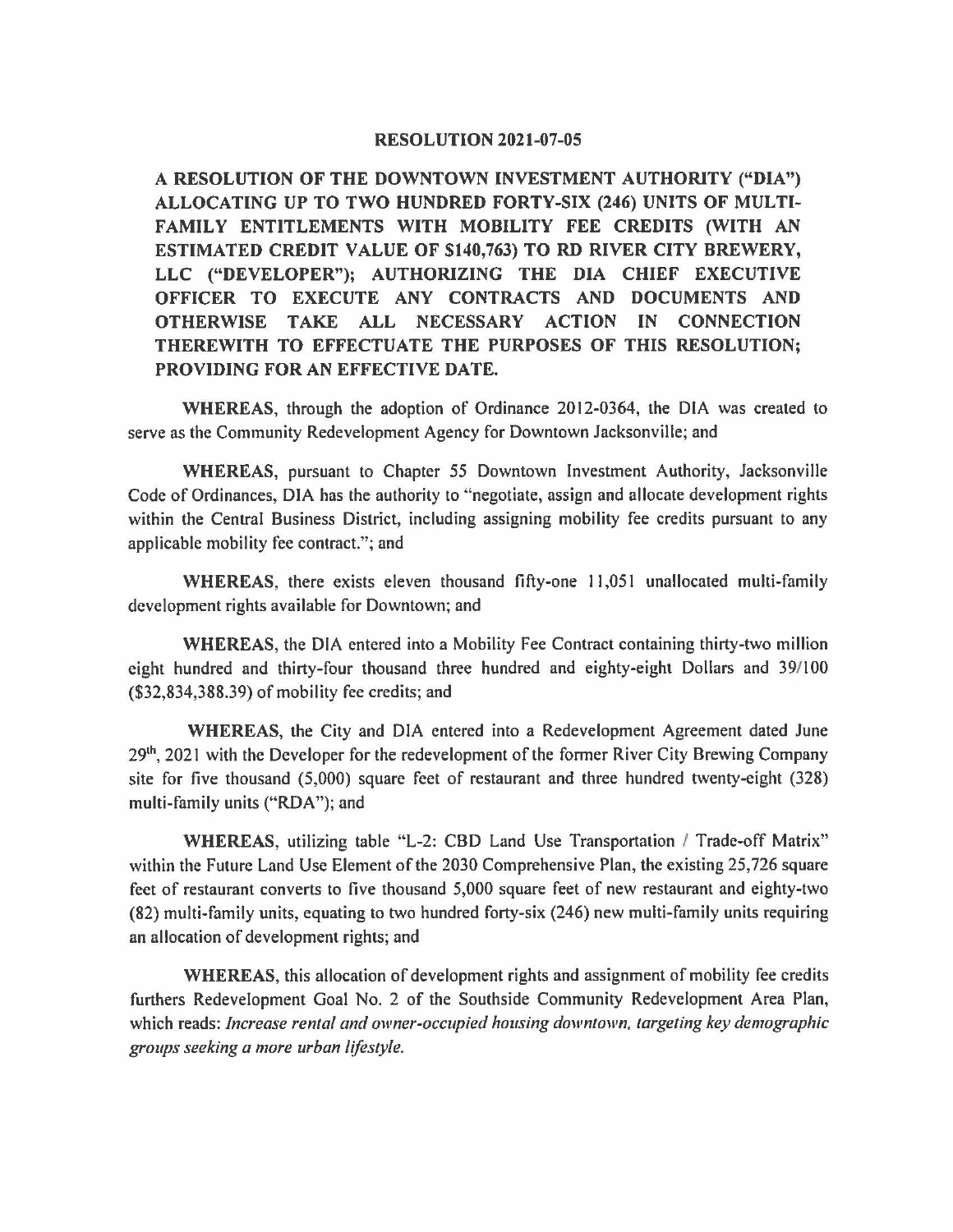## **RESOLUTION 2021-07-05**

**A RESOLUTION OF THE DOWNTOWN INVESTMENT AUTHORITY ("DIA") ALLOCATING UP TO TWO HUNDRED FORTY-SIX (246) UNITS OF MULTI-FAMILY ENTITLEMENTS WITH MOBILITY FEE CREDITS (WITH AN ESTIMATED CREDIT VALUE OF \$140,763) TO RD RIVER CITY BREWERY, LLC ("DEVELOPER"); AUTHORIZING THE DIA CHIEF EXECUTIVE OFFICER TO EXECUTE ANY CONTRACTS AND DOCUMENTS AND OTHERWISE TAKE ALL NECESSARY ACTION IN CONNECTION THEREWITH TO EFFECTUATE THE PURPOSES OF THIS RESOLUTION; PROVIDING FOR AN EFFECTIVE DATE.** 

**WHEREAS,** through the adoption of Ordinance 2012-0364, the DIA was created to serve as the Community Redevelopment Agency for Downtown Jacksonville; and

**WHEREAS,** pursuant to Chapter *55* Downtown Investment Authority, Jacksonville Code of Ordinances, DIA has the authority to "negotiate, assign and allocate development rights within the Central Business District, including assigning mobility fee credits pursuant to any applicable mobility fee contract."; and

**WHEREAS,** there exists eleven thousand fifty-one 11,051 unallocated multi-family development rights available for Downtown; and

**WHEREAS,** the DIA entered into a Mobility Fee Contract containing thirty-two million eight hundred and thirty-four thousand three hundred and eighty-eight Dollars and 39/100 (\$32,834,388.39) of mobility fee credits; and

**WHEREAS,** the City and DIA entered into a Redevelopment Agreement dated June 29<sup>th</sup>, 2021 with the Developer for the redevelopment of the former River City Brewing Company site for five thousand (5,000) square feet of restaurant and three hundred twenty-eight (328) multi-family units ("RDA"); and

**WHEREAS, utilizing table "L-2: CBD Land Use Transportation / Trade-off Matrix"** within the Future Land Use Element of the 2030 Comprehensive Plan, the existing 25,726 square feet of restaurant converts to five thousand 5,000 square feet of new restaurant and eighty-two (82) multi-family units, equating to two hundred forty-six (246) new multi-family units requiring an allocation of development rights; and

**WHEREAS,** this allocation of development rights and assignment of mobility fee credits furthers Redevelopment Goal No. 2 of the Southside Community Redevelopment Area Plan, which reads: *Increase rental and owner-occupied housing downtown, targeting key demographic groups seeking a more urban lifestyle.*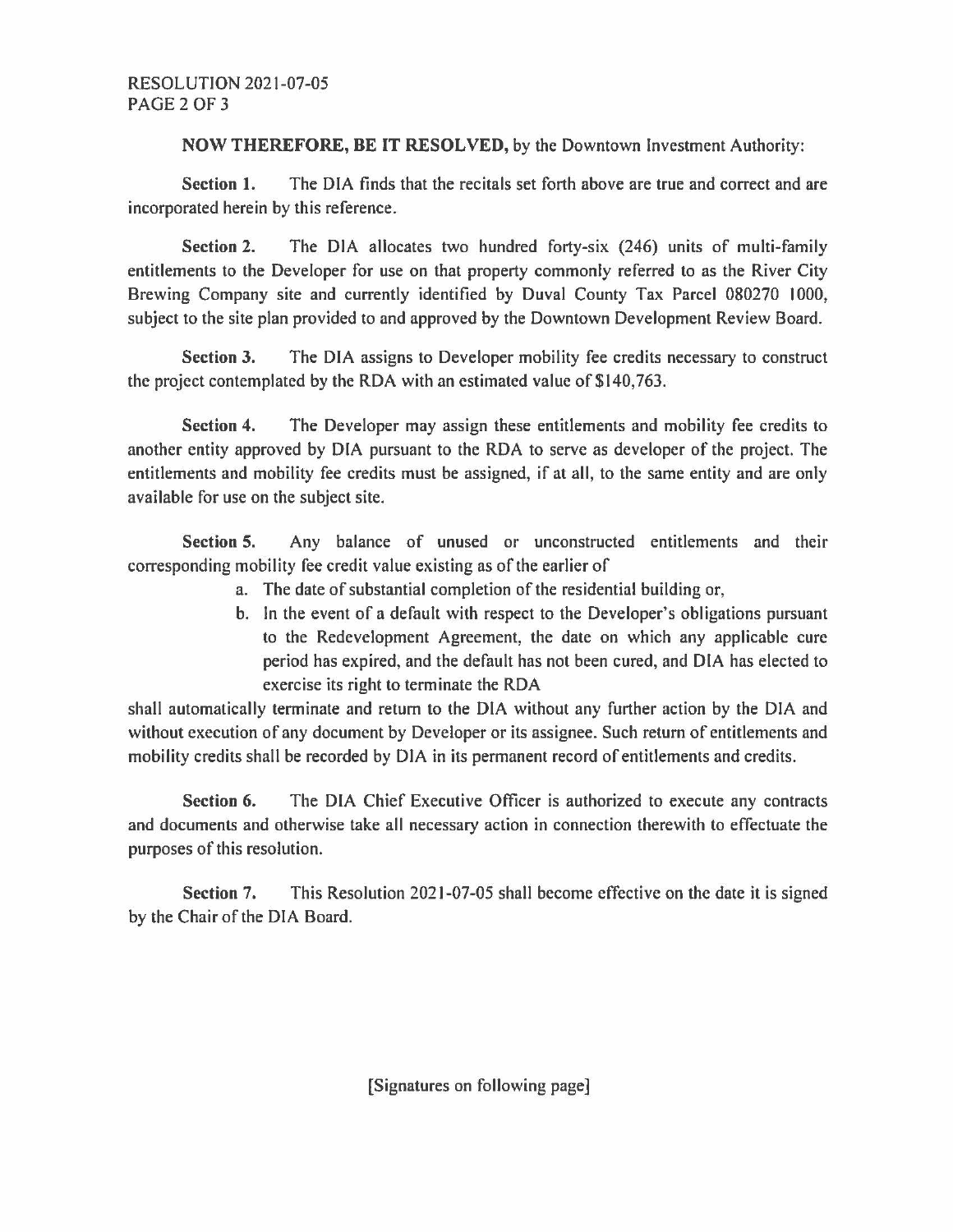**NOW THEREFORE, BE IT RESOLVED,** by the Downtown Investment Authority:

**Section 1.** The DIA finds that the recitals set forth above are true and correct and are incorporated herein by this reference.

**Section 2.** The DIA allocates two hundred forty-six (246) units of multi-family entitlements to the Developer for use on that property commonly referred to as the River City Brewing Company site and currently identified by Duval County Tax Parcel 080270 1000, subject to the site plan provided to and approved by the Downtown Development Review Board.

**Section 3.** The DIA assigns to Developer mobility fee credits necessary to construct the project contemplated by the RDA with an estimated value of \$140,763.

**Section 4.** The Developer may assign these entitlements and mobility fee credits to another entity approved by DIA pursuant to the RDA to serve as developer of the project. The entitlements and mobility fee credits must be assigned, if at all, to the same entity and are only available for use on the subject site.

**Section 5.** Any balance of unused or unconstructed entitlements and their corresponding mobility fee credit value existing as of the earlier of

- a. The date of substantial completion of the residential building or,
- b. In the event of a default with respect to the Developer's obligations pursuant to the Redevelopment Agreement, the date on which any applicable cure period has expired, and the default has not been cured, and DIA has elected to exercise its right to terminate the RDA

shall automatically terminate and return to the DIA without any further action by the DIA and without execution of any document by Developer or its assignee. Such return of entitlements and mobility credits shall be recorded by DIA in its permanent record of entitlements and credits.

**Section 6.** The DIA Chief Executive Officer is authorized to execute any contracts and documents and otherwise take all necessary action in connection therewith to effectuate the purposes of this resolution.

**Section** 7. This Resolution 2021-07-05 shall become effective on the date it is signed by the Chair of the DIA Board.

[Signatures on following page]